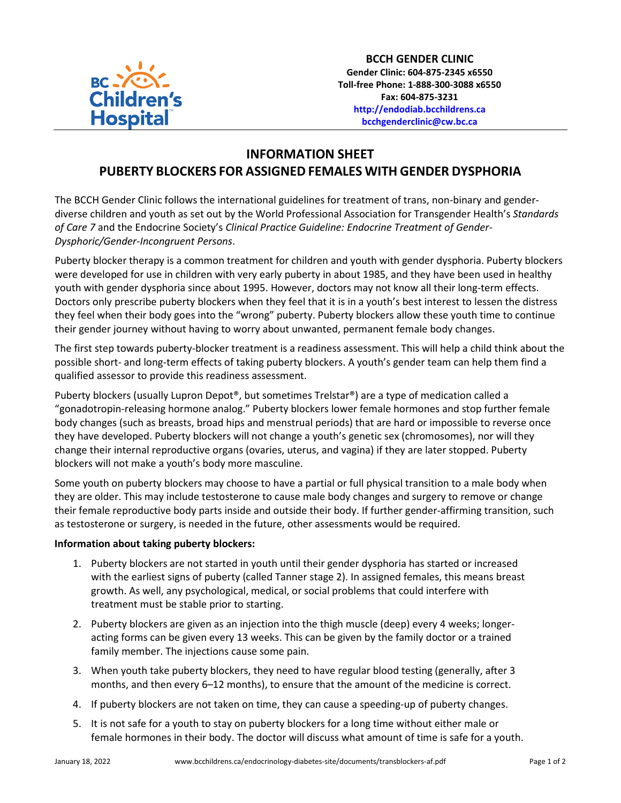

**BCCH GENDER CLINIC Gender Clinic: 604-875-2345 x6550 Toll-free Phone: 1-888-300-3088 x6550 Fax: 604-875-3231 [http://endodiab.bcchildrens.ca](http://endodiab.bcchildrens.ca/) bcchgenderclinic@cw.bc.ca**

## **INFORMATION SHEET PUBERTY BLOCKERS FOR ASSIGNED FEMALES WITH GENDER DYSPHORIA**

The BCCH Gender Clinic follows the international guidelines for treatment of trans, non-binary and genderdiverse children and youth as set out by the World Professional Association for Transgender Health's *Standards of Care 7* and the Endocrine Society's *Clinical Practice Guideline: Endocrine Treatment of Gender-Dysphoric/Gender-Incongruent Persons*.

Puberty blocker therapy is a common treatment for children and youth with gender dysphoria. Puberty blockers were developed for use in children with very early puberty in about 1985, and they have been used in healthy youth with gender dysphoria since about 1995. However, doctors may not know all their long-term effects. Doctors only prescribe puberty blockers when they feel that it is in a youth's best interest to lessen the distress they feel when their body goes into the "wrong" puberty. Puberty blockers allow these youth time to continue their gender journey without having to worry about unwanted, permanent female body changes.

The first step towards puberty-blocker treatment is a readiness assessment. This will help a child think about the possible short- and long-term effects of taking puberty blockers. A youth's gender team can help them find a qualified assessor to provide this readiness assessment.

Puberty blockers (usually Lupron Depot®, but sometimes Trelstar®) are a type of medication called a "gonadotropin-releasing hormone analog." Puberty blockers lower female hormones and stop further female body changes (such as breasts, broad hips and menstrual periods) that are hard or impossible to reverse once they have developed. Puberty blockers will not change a youth's genetic sex (chromosomes), nor will they change their internal reproductive organs (ovaries, uterus, and vagina) if they are later stopped. Puberty blockers will not make a youth's body more masculine.

Some youth on puberty blockers may choose to have a partial or full physical transition to a male body when they are older. This may include testosterone to cause male body changes and surgery to remove or change their female reproductive body parts inside and outside their body. If further gender-affirming transition, such as testosterone or surgery, is needed in the future, other assessments would be required.

## **Information about taking puberty blockers:**

- 1. Puberty blockers are not started in youth until their gender dysphoria has started or increased with the earliest signs of puberty (called Tanner stage 2). In assigned females, this means breast growth. As well, any psychological, medical, or social problems that could interfere with treatment must be stable prior to starting.
- 2. Puberty blockers are given as an injection into the thigh muscle (deep) every 4 weeks; longeracting forms can be given every 13 weeks. This can be given by the family doctor or a trained family member. The injections cause some pain.
- 3. When youth take puberty blockers, they need to have regular blood testing (generally, after 3 months, and then every 6–12 months), to ensure that the amount of the medicine is correct.
- 4. If puberty blockers are not taken on time, they can cause a speeding-up of puberty changes.
- 5. It is not safe for a youth to stay on puberty blockers for a long time without either male or female hormones in their body. The doctor will discuss what amount of time is safe for a youth.